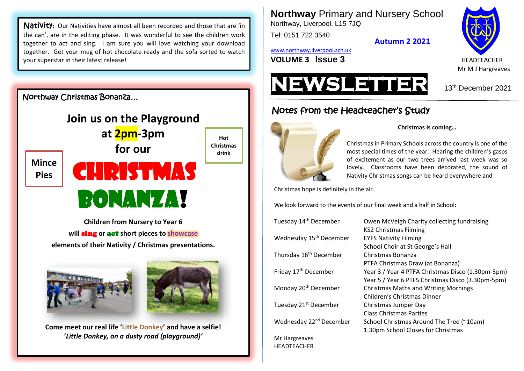Nativity**:** Our Nativities have almost all been recorded and those that are 'in the can', are in the editing phase. It was wonderful to see the children work together to act and sing. I am sure you will love watching your download together. Get your mug of hot chocolate ready and the sofa sorted to watch your superstar in their latest release!

Northway Christmas Bonanza…



**Children from Nursery to Year 6 will** sing **or** act **short pieces to showcase elements of their Nativity / Christmas presentations.**





**Come meet our real life 'Little Donkey' and have a selfie! '***Little Donkey, on a dusty road (playground)'*

**Northway** Primary and Nursery School Northway, Liverpool, L15 7JQ

Tel: 0151 722 3540

**Autumn 2 2021**

[www.northway.liverpool.sch.uk](http://www.northway.liverpool.sch.uk/)

**VOLUME 3 ISSUE 3**  $\blacksquare$ 



Mr M J Hargreaves



# Notes from the Headteacher's Study



HEADTEACHER

#### **Christmas is coming…**

Christmas in Primary Schools across the country is one of the most special times of the year. Hearing the children's gasps of excitement as our two trees arrived last week was so lovely. Classrooms have been decorated, the sound of Nativity Christmas songs can be heard everywhere and

Christmas hope is definitely in the air.

We look forward to the events of our final week and a half in School:

| Tuesday 14 <sup>th</sup> December   | Owen McVeigh Charity collecting fundraising       |
|-------------------------------------|---------------------------------------------------|
|                                     | KS2 Christmas Filming                             |
| Wednesday 15 <sup>th</sup> December | <b>EYFS Nativity Filming</b>                      |
|                                     | School Choir at St George's Hall                  |
| Thursday 16 <sup>th</sup> December  | Christmas Bonanza                                 |
|                                     | PTFA Christmas Draw (at Bonanza)                  |
| Friday 17 <sup>th</sup> December    | Year 3 / Year 4 PTFA Christmas Disco (1.30pm-3pm) |
|                                     | Year 5 / Year 6 PTFS Christmas Disco (3.30pm-5pm) |
| Monday 20 <sup>th</sup> December    | <b>Christmas Maths and Writing Mornings</b>       |
|                                     | Children's Christmas Dinner                       |
| Tuesday 21 <sup>st</sup> December   | Christmas Jumper Day                              |
|                                     | <b>Class Christmas Parties</b>                    |
| Wednesday 22 <sup>nd</sup> December | School Christmas Around The Tree (~10am)          |
|                                     | 1.30pm School Closes for Christmas                |
| Mr Hargreaves                       |                                                   |